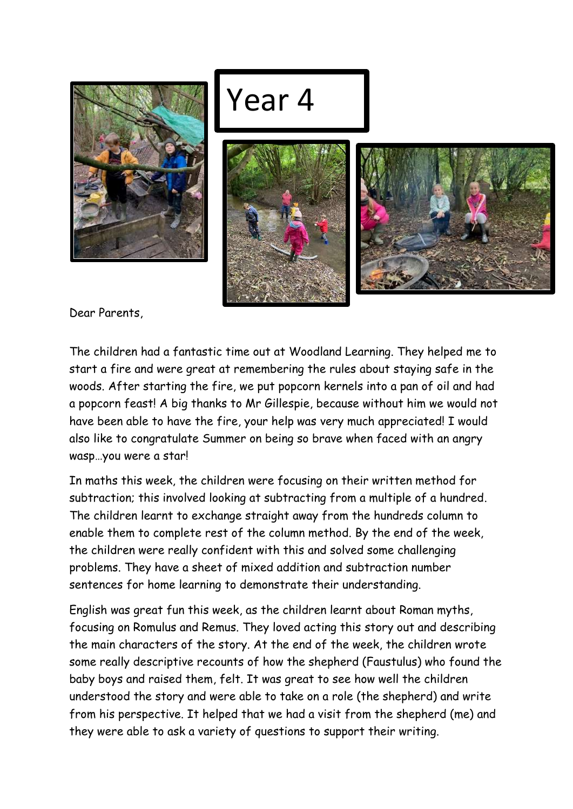

## Year 4





Dear Parents,

The children had a fantastic time out at Woodland Learning. They helped me to start a fire and were great at remembering the rules about staying safe in the woods. After starting the fire, we put popcorn kernels into a pan of oil and had a popcorn feast! A big thanks to Mr Gillespie, because without him we would not have been able to have the fire, your help was very much appreciated! I would also like to congratulate Summer on being so brave when faced with an angry wasp…you were a star!

In maths this week, the children were focusing on their written method for subtraction; this involved looking at subtracting from a multiple of a hundred. The children learnt to exchange straight away from the hundreds column to enable them to complete rest of the column method. By the end of the week, the children were really confident with this and solved some challenging problems. They have a sheet of mixed addition and subtraction number sentences for home learning to demonstrate their understanding.

English was great fun this week, as the children learnt about Roman myths, focusing on Romulus and Remus. They loved acting this story out and describing the main characters of the story. At the end of the week, the children wrote some really descriptive recounts of how the shepherd (Faustulus) who found the baby boys and raised them, felt. It was great to see how well the children understood the story and were able to take on a role (the shepherd) and write from his perspective. It helped that we had a visit from the shepherd (me) and they were able to ask a variety of questions to support their writing.